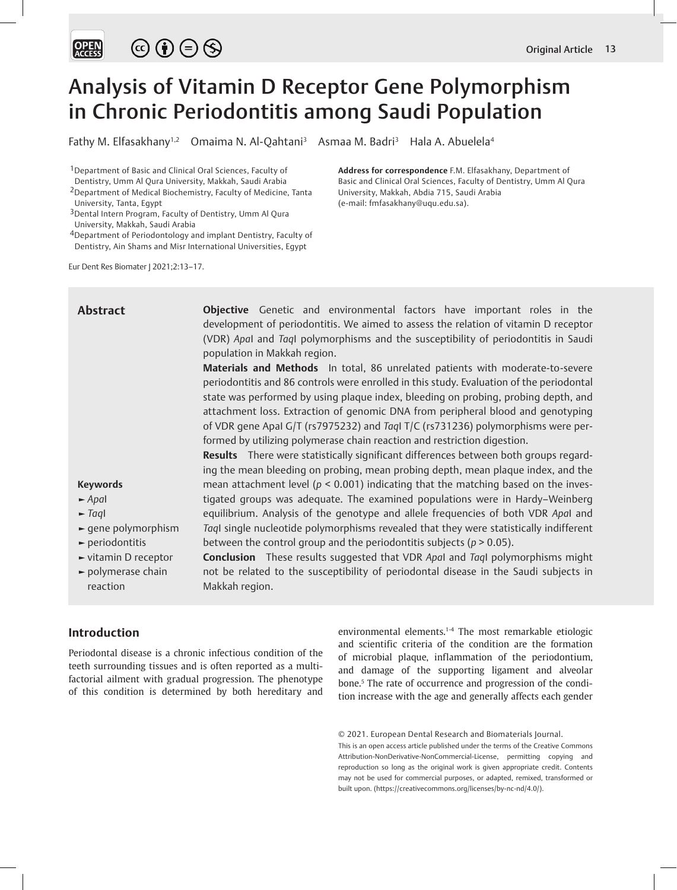

# Analysis of Vitamin D Receptor Gene Polymorphism in Chronic Periodontitis among Saudi Population

Fathy M. Elfasakhany<sup>1,2</sup> Omaima N. Al-Qahtani<sup>3</sup> Asmaa M. Badri<sup>3</sup> Hala A. Abuelela<sup>4</sup>

1Department of Basic and Clinical Oral Sciences, Faculty of Dentistry, Umm Al Qura University, Makkah, Saudi Arabia

- 3Dental Intern Program, Faculty of Dentistry, Umm Al Qura University, Makkah, Saudi Arabia
- 4Department of Periodontology and implant Dentistry, Faculty of Dentistry, Ain Shams and Misr International Universities, Egypt

Eur Dent Res Biomater J 2021;2:13–17.

**Address for correspondence** F.M. Elfasakhany, Department of Basic and Clinical Oral Sciences, Faculty of Dentistry, Umm Al Qura University, Makkah, Abdia 715, Saudi Arabia (e-mail: fmfasakhany@uqu.edu.sa).

**Objective** Genetic and environmental factors have important roles in the development of periodontitis. We aimed to assess the relation of vitamin D receptor (VDR) *Apa*I and *Taq*I polymorphisms and the susceptibility of periodontitis in Saudi population in Makkah region. **Materials and Methods** In total, 86 unrelated patients with moderate-to-severe periodontitis and 86 controls were enrolled in this study. Evaluation of the periodontal state was performed by using plaque index, bleeding on probing, probing depth, and attachment loss. Extraction of genomic DNA from peripheral blood and genotyping of VDR gene ApaI G/T (rs7975232) and *Taq*I T/C (rs731236) polymorphisms were performed by utilizing polymerase chain reaction and restriction digestion. **Results** There were statistically significant differences between both groups regarding the mean bleeding on probing, mean probing depth, mean plaque index, and the mean attachment level (*p* < 0.001) indicating that the matching based on the investigated groups was adequate. The examined populations were in Hardy–Weinberg equilibrium. Analysis of the genotype and allele frequencies of both VDR *Apa*I and *Taq*I single nucleotide polymorphisms revealed that they were statistically indifferent between the control group and the periodontitis subjects (*p* > 0.05). **Conclusion** These results suggested that VDR *Apa*I and *Taq*I polymorphisms might not be related to the susceptibility of periodontal disease in the Saudi subjects in Makkah region. **Abstract Keywords ►** *Apa*I **►** *Taq*I **►** gene polymorphism **►** periodontitis **►** vitamin D receptor **►** polymerase chain reaction

# **Introduction**

Periodontal disease is a chronic infectious condition of the teeth surrounding tissues and is often reported as a multifactorial ailment with gradual progression. The phenotype of this condition is determined by both hereditary and environmental elements.<sup>1-4</sup> The most remarkable etiologic and scientific criteria of the condition are the formation of microbial plaque, inflammation of the periodontium, and damage of the supporting ligament and alveolar bone.<sup>5</sup> The rate of occurrence and progression of the condition increase with the age and generally affects each gender

<sup>2</sup>Department of Medical Biochemistry, Faculty of Medicine, Tanta University, Tanta, Egypt

<sup>© 2021.</sup> European Dental Research and Biomaterials Journal.

This is an open access article published under the terms of the Creative Commons Attribution-NonDerivative-NonCommercial-License, permitting copying and reproduction so long as the original work is given appropriate credit. Contents may not be used for commercial purposes, or adapted, remixed, transformed or built upon. (https://creativecommons.org/licenses/by-nc-nd/4.0/).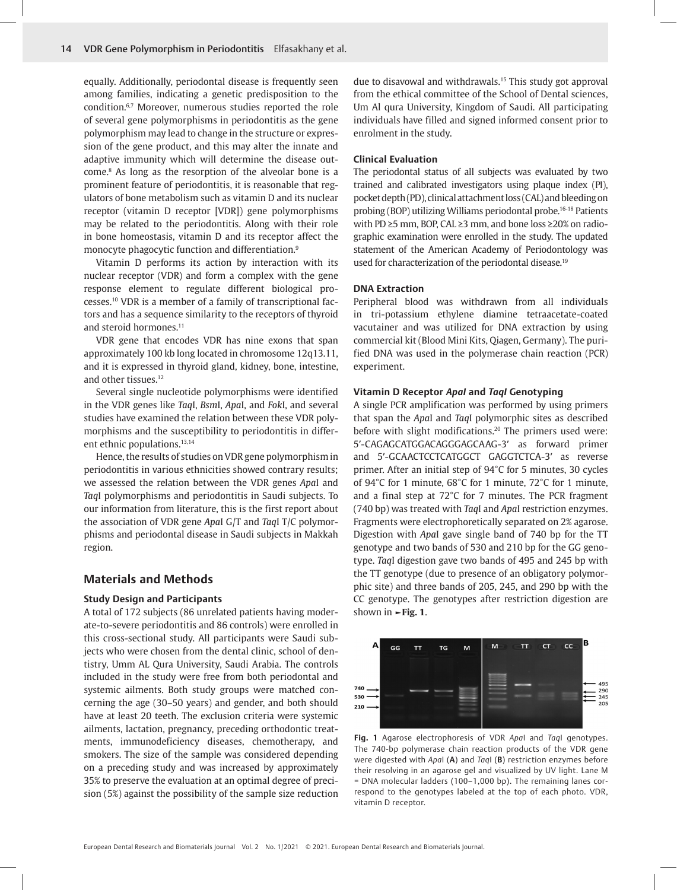equally. Additionally, periodontal disease is frequently seen among families, indicating a genetic predisposition to the condition.6,7 Moreover, numerous studies reported the role of several gene polymorphisms in periodontitis as the gene polymorphism may lead to change in the structure or expression of the gene product, and this may alter the innate and adaptive immunity which will determine the disease outcome.8 As long as the resorption of the alveolar bone is a prominent feature of periodontitis, it is reasonable that regulators of bone metabolism such as vitamin D and its nuclear receptor (vitamin D receptor [VDR]) gene polymorphisms may be related to the periodontitis. Along with their role in bone homeostasis, vitamin D and its receptor affect the monocyte phagocytic function and differentiation.9

Vitamin D performs its action by interaction with its nuclear receptor (VDR) and form a complex with the gene response element to regulate different biological processes.10 VDR is a member of a family of transcriptional factors and has a sequence similarity to the receptors of thyroid and steroid hormones.<sup>11</sup>

VDR gene that encodes VDR has nine exons that span approximately 100 kb long located in chromosome 12q13.11, and it is expressed in thyroid gland, kidney, bone, intestine, and other tissues.<sup>12</sup>

Several single nucleotide polymorphisms were identified in the VDR genes like *Taq*I, *Bsm*I, *Apa*I, and *Fok*I, and several studies have examined the relation between these VDR polymorphisms and the susceptibility to periodontitis in different ethnic populations.<sup>13,14</sup>

Hence, the results of studies on VDR gene polymorphism in periodontitis in various ethnicities showed contrary results; we assessed the relation between the VDR genes *Apa*I and *Taq*I polymorphisms and periodontitis in Saudi subjects. To our information from literature, this is the first report about the association of VDR gene *Apa*I G/T and *Taq*I T/C polymorphisms and periodontal disease in Saudi subjects in Makkah region.

# **Materials and Methods**

#### **Study Design and Participants**

A total of 172 subjects (86 unrelated patients having moderate-to-severe periodontitis and 86 controls) were enrolled in this cross-sectional study. All participants were Saudi subjects who were chosen from the dental clinic, school of dentistry, Umm AL Qura University, Saudi Arabia. The controls included in the study were free from both periodontal and systemic ailments. Both study groups were matched concerning the age (30–50 years) and gender, and both should have at least 20 teeth. The exclusion criteria were systemic ailments, lactation, pregnancy, preceding orthodontic treatments, immunodeficiency diseases, chemotherapy, and smokers. The size of the sample was considered depending on a preceding study and was increased by approximately 35% to preserve the evaluation at an optimal degree of precision (5%) against the possibility of the sample size reduction

due to disavowal and withdrawals.15 This study got approval from the ethical committee of the School of Dental sciences, Um Al qura University, Kingdom of Saudi. All participating individuals have filled and signed informed consent prior to enrolment in the study.

### **Clinical Evaluation**

The periodontal status of all subjects was evaluated by two trained and calibrated investigators using plaque index (PI), pocket depth (PD), clinical attachment loss (CAL) and bleeding on probing (BOP) utilizing Williams periodontal probe.16-18 Patients with PD ≥5 mm, BOP, CAL ≥3 mm, and bone loss ≥20% on radiographic examination were enrolled in the study. The updated statement of the American Academy of Periodontology was used for characterization of the periodontal disease.19

#### **DNA Extraction**

Peripheral blood was withdrawn from all individuals in tri-potassium ethylene diamine tetraacetate-coated vacutainer and was utilized for DNA extraction by using commercial kit (Blood Mini Kits, Qiagen, Germany). The purified DNA was used in the polymerase chain reaction (PCR) experiment.

## **Vitamin D Receptor** *ApaI* **and** *TaqI* **Genotyping**

A single PCR amplification was performed by using primers that span the *Apa*I and *Taq*I polymorphic sites as described before with slight modifications.<sup>20</sup> The primers used were: 5′-CAGAGCATGGACAGGGAGCAAG-3′ as forward primer and 5′-GCAACTCCTCATGGCT GAGGTCTCA-3′ as reverse primer. After an initial step of 94°C for 5 minutes, 30 cycles of 94°C for 1 minute, 68°C for 1 minute, 72°C for 1 minute, and a final step at 72°C for 7 minutes. The PCR fragment (740 bp) was treated with *Taq*I and *Apa*I restriction enzymes. Fragments were electrophoretically separated on 2% agarose. Digestion with *Apa*I gave single band of 740 bp for the TT genotype and two bands of 530 and 210 bp for the GG genotype. *Taq*I digestion gave two bands of 495 and 245 bp with the TT genotype (due to presence of an obligatory polymorphic site) and three bands of 205, 245, and 290 bp with the CC genotype. The genotypes after restriction digestion are shown in **►Fig. 1**.



**Fig. 1** Agarose electrophoresis of VDR *Apa*I and *Taq*I genotypes. The 740-bp polymerase chain reaction products of the VDR gene were digested with *Apa*I (**A**) and *Taq*I (**B**) restriction enzymes before their resolving in an agarose gel and visualized by UV light. Lane M = DNA molecular ladders (100–1,000 bp). The remaining lanes correspond to the genotypes labeled at the top of each photo. VDR, vitamin D receptor.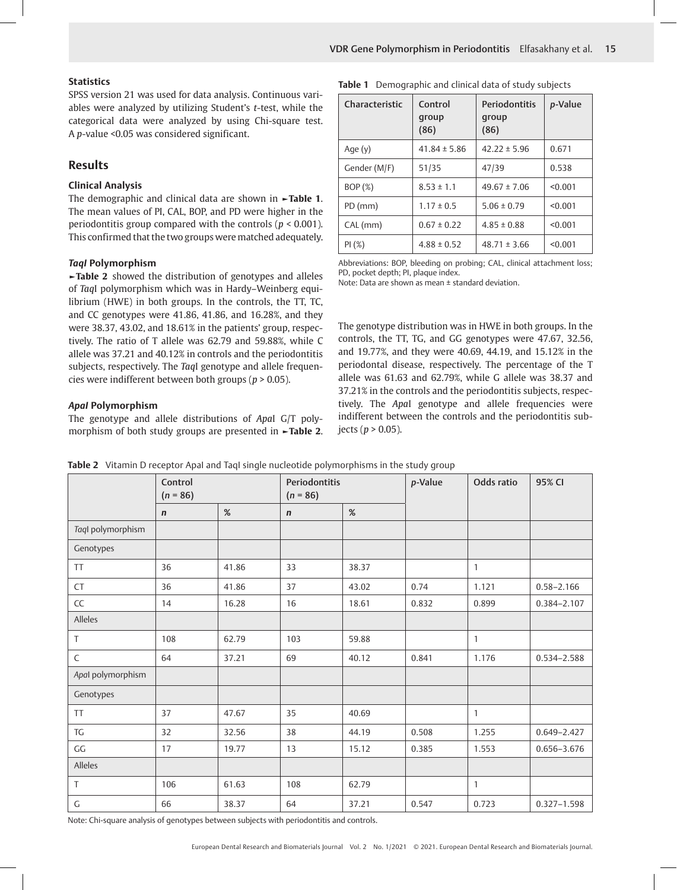**Table 1** Demographic and clinical data of study subjects

# **Statistics**

SPSS version 21 was used for data analysis. Continuous variables were analyzed by utilizing Student's *t*-test, while the categorical data were analyzed by using Chi-square test. A *p*-value <0.05 was considered significant.

# **Results**

# **Clinical Analysis**

The demographic and clinical data are shown in **►Table 1**. The mean values of PI, CAL, BOP, and PD were higher in the periodontitis group compared with the controls (*p* < 0.001). This confirmed that the two groups were matched adequately.

# *TaqI* **Polymorphism**

**►Table 2** showed the distribution of genotypes and alleles of *Taq*I polymorphism which was in Hardy–Weinberg equilibrium (HWE) in both groups. In the controls, the TT, TC, and CC genotypes were 41.86, 41.86, and 16.28%, and they were 38.37, 43.02, and 18.61% in the patients' group, respectively. The ratio of T allele was 62.79 and 59.88%, while C allele was 37.21 and 40.12% in controls and the periodontitis subjects, respectively. The *Taq*I genotype and allele frequencies were indifferent between both groups (*p* > 0.05).

## *ApaI* **Polymorphism**

The genotype and allele distributions of *Apa*I G/T polymorphism of both study groups are presented in **►Table 2**.

| Characteristic | Control<br>group<br>(86) | <b>Periodontitis</b><br>group<br>(86) | p-Value |  |
|----------------|--------------------------|---------------------------------------|---------|--|
| Age (y)        | $41.84 \pm 5.86$         | $42.22 \pm 5.96$                      | 0.671   |  |
| Gender (M/F)   | 51/35                    | 47/39                                 | 0.538   |  |
| BOP(%)         | $8.53 \pm 1.1$           | $49.67 \pm 7.06$                      | < 0.001 |  |
| $PD$ (mm)      | $1.17 \pm 0.5$           | $5.06 \pm 0.79$                       | < 0.001 |  |
| CAL (mm)       | $0.67 \pm 0.22$          | $4.85 \pm 0.88$                       | < 0.001 |  |
| PI(%)          | $4.88 \pm 0.52$          | $48.71 \pm 3.66$                      | < 0.001 |  |

Abbreviations: BOP, bleeding on probing; CAL, clinical attachment loss; PD, pocket depth; PI, plaque index.

Note: Data are shown as mean ± standard deviation.

The genotype distribution was in HWE in both groups. In the controls, the TT, TG, and GG genotypes were 47.67, 32.56, and 19.77%, and they were 40.69, 44.19, and 15.12% in the periodontal disease, respectively. The percentage of the T allele was 61.63 and 62.79%, while G allele was 38.37 and 37.21% in the controls and the periodontitis subjects, respectively. The *Apa*I genotype and allele frequencies were indifferent between the controls and the periodontitis sub $jects (p > 0.05).$ 

|                        | Control<br>$(n = 86)$ |       | Periodontitis<br>$(n = 86)$ |       | p-Value | Odds ratio     | 95% CI          |
|------------------------|-----------------------|-------|-----------------------------|-------|---------|----------------|-----------------|
|                        | $\mathbf n$           | %     | $\mathbf n$                 | %     |         |                |                 |
| Taql polymorphism      |                       |       |                             |       |         |                |                 |
| Genotypes              |                       |       |                             |       |         |                |                 |
| <b>TT</b>              | 36                    | 41.86 | 33                          | 38.37 |         | $\mathbf{1}$   |                 |
| CT                     | 36                    | 41.86 | 37                          | 43.02 | 0.74    | 1.121          | $0.58 - 2.166$  |
| CC                     | 14                    | 16.28 | 16                          | 18.61 | 0.832   | 0.899          | 0.384-2.107     |
| Alleles                |                       |       |                             |       |         |                |                 |
| $\top$                 | 108                   | 62.79 | 103                         | 59.88 |         | $\mathbf{1}$   |                 |
| $\mathsf C$            | 64                    | 37.21 | 69                          | 40.12 | 0.841   | 1.176          | 0.534-2.588     |
| Apal polymorphism      |                       |       |                             |       |         |                |                 |
| Genotypes              |                       |       |                             |       |         |                |                 |
| <b>TT</b>              | 37                    | 47.67 | 35                          | 40.69 |         | 1              |                 |
| TG                     | 32                    | 32.56 | 38                          | 44.19 | 0.508   | 1.255          | $0.649 - 2.427$ |
| $\mathsf{G}\mathsf{G}$ | 17                    | 19.77 | 13                          | 15.12 | 0.385   | 1.553          | $0.656 - 3.676$ |
| Alleles                |                       |       |                             |       |         |                |                 |
| $\top$                 | 106                   | 61.63 | 108                         | 62.79 |         | $\overline{1}$ |                 |
| G                      | 66                    | 38.37 | 64                          | 37.21 | 0.547   | 0.723          | $0.327 - 1.598$ |

**Table 2** Vitamin D receptor ApaI and TaqI single nucleotide polymorphisms in the study group

Note: Chi-square analysis of genotypes between subjects with periodontitis and controls.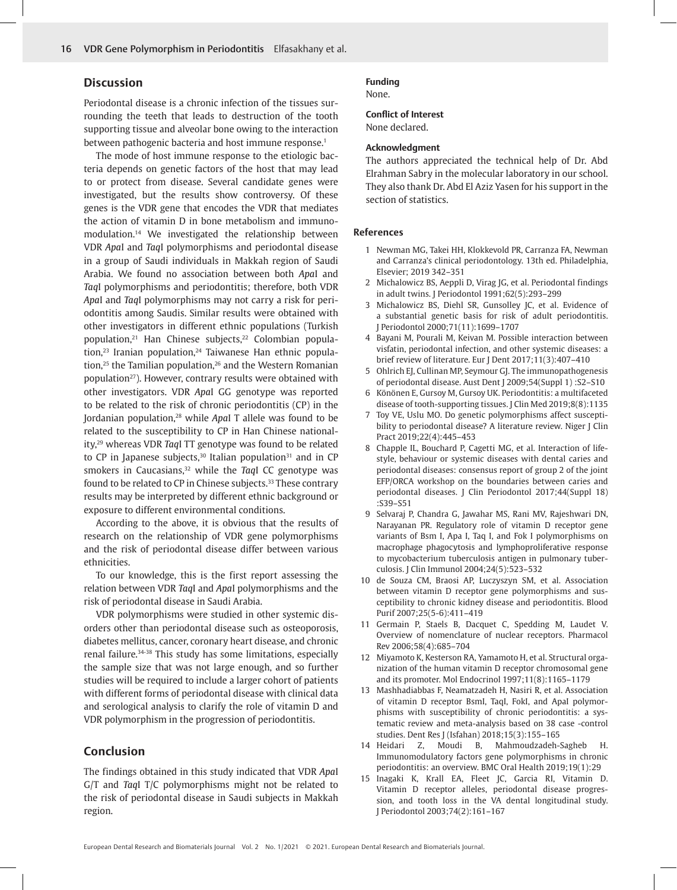# **Discussion**

Periodontal disease is a chronic infection of the tissues surrounding the teeth that leads to destruction of the tooth supporting tissue and alveolar bone owing to the interaction between pathogenic bacteria and host immune response.<sup>1</sup>

The mode of host immune response to the etiologic bacteria depends on genetic factors of the host that may lead to or protect from disease. Several candidate genes were investigated, but the results show controversy. Of these genes is the VDR gene that encodes the VDR that mediates the action of vitamin D in bone metabolism and immunomodulation.14 We investigated the relationship between VDR *Apa*I and *Taq*I polymorphisms and periodontal disease in a group of Saudi individuals in Makkah region of Saudi Arabia. We found no association between both *Apa*I and *Taq*I polymorphisms and periodontitis; therefore, both VDR *Apa*I and *Taq*I polymorphisms may not carry a risk for periodontitis among Saudis. Similar results were obtained with other investigators in different ethnic populations (Turkish population,<sup>21</sup> Han Chinese subjects,<sup>22</sup> Colombian popula $t$ ion,<sup>23</sup> Iranian population,<sup>24</sup> Taiwanese Han ethnic population, $25$  the Tamilian population, $26$  and the Western Romanian population<sup>27</sup>). However, contrary results were obtained with other investigators. VDR *Apa*I GG genotype was reported to be related to the risk of chronic periodontitis (CP) in the Jordanian population,28 while *Apa*I T allele was found to be related to the susceptibility to CP in Han Chinese nationality,29 whereas VDR *Taq*I TT genotype was found to be related to CP in Japanese subjects, $30$  Italian population $31$  and in CP smokers in Caucasians,32 while the *Taq*I CC genotype was found to be related to CP in Chinese subjects.<sup>33</sup> These contrary results may be interpreted by different ethnic background or exposure to different environmental conditions.

According to the above, it is obvious that the results of research on the relationship of VDR gene polymorphisms and the risk of periodontal disease differ between various ethnicities.

To our knowledge, this is the first report assessing the relation between VDR *Taq*I and *Apa*I polymorphisms and the risk of periodontal disease in Saudi Arabia.

VDR polymorphisms were studied in other systemic disorders other than periodontal disease such as osteoporosis, diabetes mellitus, cancer, coronary heart disease, and chronic renal failure.34-38 This study has some limitations, especially the sample size that was not large enough, and so further studies will be required to include a larger cohort of patients with different forms of periodontal disease with clinical data and serological analysis to clarify the role of vitamin D and VDR polymorphism in the progression of periodontitis.

# **Conclusion**

The findings obtained in this study indicated that VDR *Apa*I G/T and *Taq*I T/C polymorphisms might not be related to the risk of periodontal disease in Saudi subjects in Makkah region.

# **Funding**

None.

## **Conflict of Interest** None declared.

#### **Acknowledgment**

The authors appreciated the technical help of Dr. Abd Elrahman Sabry in the molecular laboratory in our school. They also thank Dr. Abd El Aziz Yasen for his support in the section of statistics.

# **References**

- 1 Newman MG, Takei HH, Klokkevold PR, Carranza FA, Newman and Carranza's clinical periodontology. 13th ed. Philadelphia, Elsevier; 2019 342–351
- 2 Michalowicz BS, Aeppli D, Virag JG, et al. Periodontal findings in adult twins. J Periodontol 1991;62(5):293–299
- 3 Michalowicz BS, Diehl SR, Gunsolley JC, et al. Evidence of a substantial genetic basis for risk of adult periodontitis. J Periodontol 2000;71(11):1699–1707
- 4 Bayani M, Pourali M, Keivan M. Possible interaction between visfatin, periodontal infection, and other systemic diseases: a brief review of literature. Eur J Dent 2017;11(3):407–410
- 5 Ohlrich EJ, Cullinan MP, Seymour GJ. The immunopathogenesis of periodontal disease. Aust Dent J 2009;54(Suppl 1) :S2–S10
- 6 Könönen E, Gursoy M, Gursoy UK. Periodontitis: a multifaceted disease of tooth-supporting tissues. J Clin Med 2019;8(8):1135
- 7 Toy VE, Uslu MO. Do genetic polymorphisms affect susceptibility to periodontal disease? A literature review. Niger J Clin Pract 2019;22(4):445–453
- 8 Chapple IL, Bouchard P, Cagetti MG, et al. Interaction of lifestyle, behaviour or systemic diseases with dental caries and periodontal diseases: consensus report of group 2 of the joint EFP/ORCA workshop on the boundaries between caries and periodontal diseases. J Clin Periodontol 2017;44(Suppl 18) :S39–S51
- 9 Selvaraj P, Chandra G, Jawahar MS, Rani MV, Rajeshwari DN, Narayanan PR. Regulatory role of vitamin D receptor gene variants of Bsm I, Apa I, Taq I, and Fok I polymorphisms on macrophage phagocytosis and lymphoproliferative response to mycobacterium tuberculosis antigen in pulmonary tuberculosis. J Clin Immunol 2004;24(5):523–532
- 10 de Souza CM, Braosi AP, Luczyszyn SM, et al. Association between vitamin D receptor gene polymorphisms and susceptibility to chronic kidney disease and periodontitis. Blood Purif 2007;25(5-6):411–419
- 11 Germain P, Staels B, Dacquet C, Spedding M, Laudet V. Overview of nomenclature of nuclear receptors. Pharmacol Rev 2006;58(4):685–704
- 12 Miyamoto K, Kesterson RA, Yamamoto H, et al. Structural organization of the human vitamin D receptor chromosomal gene and its promoter. Mol Endocrinol 1997;11(8):1165–1179
- 13 Mashhadiabbas F, Neamatzadeh H, Nasiri R, et al. Association of vitamin D receptor BsmI, TaqI, FokI, and ApaI polymorphisms with susceptibility of chronic periodontitis: a systematic review and meta-analysis based on 38 case -control studies. Dent Res J (Isfahan) 2018;15(3):155–165
- 14 Heidari Z, Moudi B, Mahmoudzadeh-Sagheb H. Immunomodulatory factors gene polymorphisms in chronic periodontitis: an overview. BMC Oral Health 2019;19(1):29
- 15 Inagaki K, Krall EA, Fleet JC, Garcia RI, Vitamin D. Vitamin D receptor alleles, periodontal disease progression, and tooth loss in the VA dental longitudinal study. J Periodontol 2003;74(2):161–167